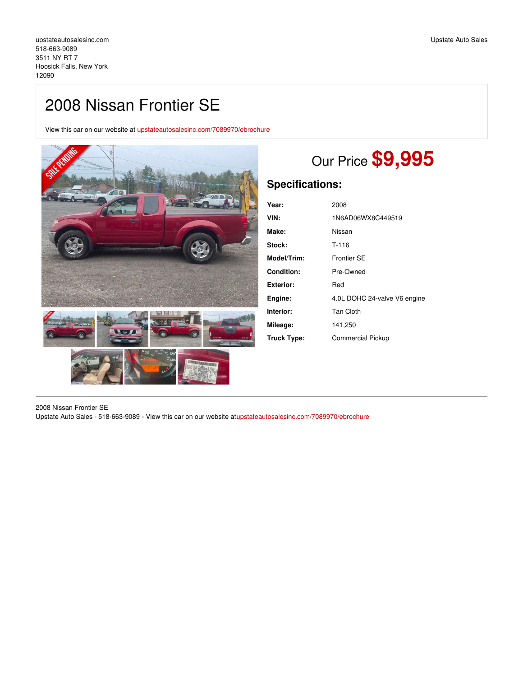## 2008 Nissan Frontier SE

View this car on our website at [upstateautosalesinc.com/7089970/ebrochure](https://upstateautosalesinc.com/vehicle/7089970/2008-nissan-frontier-se-hoosick-falls-new-york-12090/7089970/ebrochure)



# Our Price **\$9,995**

## **Specifications:**

| Year:              | 2008                         |
|--------------------|------------------------------|
| VIN:               | 1N6AD06WX8C449519            |
| Make:              | Nissan                       |
| Stock:             | T-116                        |
| <b>Model/Trim:</b> | Frontier SE                  |
| <b>Condition:</b>  | Pre-Owned                    |
| Exterior:          | Red                          |
| Engine:            | 4.0L DOHC 24-valve V6 engine |
| Interior:          | <b>Tan Cloth</b>             |
| Mileage:           | 141,250                      |
| Truck Type:        | <b>Commercial Pickup</b>     |

2008 Nissan Frontier SE Upstate Auto Sales - 518-663-9089 - View this car on our website a[tupstateautosalesinc.com/7089970/ebrochure](https://upstateautosalesinc.com/vehicle/7089970/2008-nissan-frontier-se-hoosick-falls-new-york-12090/7089970/ebrochure)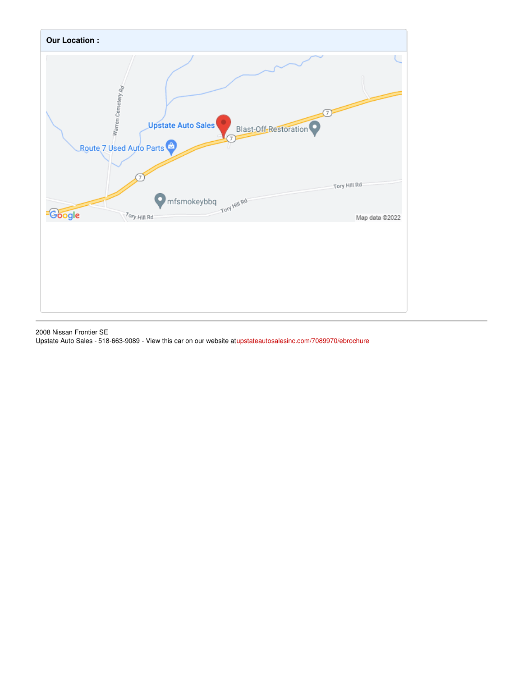

2008 Nissan Frontier SE Upstate Auto Sales - 518-663-9089 - View this car on our website a[tupstateautosalesinc.com/7089970/ebrochure](https://upstateautosalesinc.com/vehicle/7089970/2008-nissan-frontier-se-hoosick-falls-new-york-12090/7089970/ebrochure)